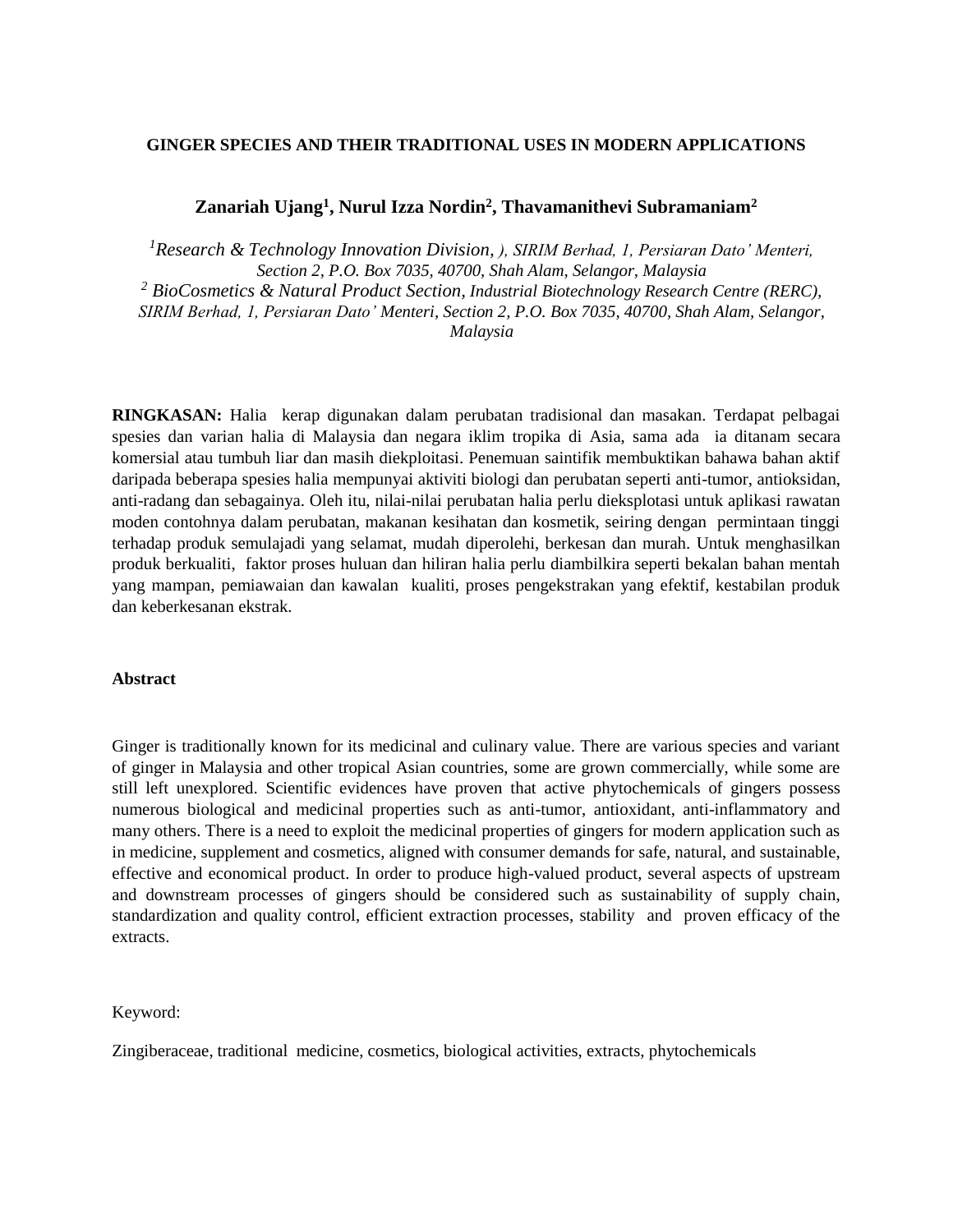# **GINGER SPECIES AND THEIR TRADITIONAL USES IN MODERN APPLICATIONS**

# **Zanariah Ujang<sup>1</sup> , Nurul Izza Nordin<sup>2</sup> , Thavamanithevi Subramaniam<sup>2</sup>**

*<sup>1</sup>Research & Technology Innovation Division, ), SIRIM Berhad, 1, Persiaran Dato' Menteri, Section 2, P.O. Box 7035, 40700, Shah Alam, Selangor, Malaysia <sup>2</sup> BioCosmetics & Natural Product Section, Industrial Biotechnology Research Centre (RERC), SIRIM Berhad, 1, Persiaran Dato' Menteri, Section 2, P.O. Box 7035, 40700, Shah Alam, Selangor, Malaysia*

**RINGKASAN:** Halia kerap digunakan dalam perubatan tradisional dan masakan. Terdapat pelbagai spesies dan varian halia di Malaysia dan negara iklim tropika di Asia, sama ada ia ditanam secara komersial atau tumbuh liar dan masih diekploitasi. Penemuan saintifik membuktikan bahawa bahan aktif daripada beberapa spesies halia mempunyai aktiviti biologi dan perubatan seperti anti-tumor, antioksidan, anti-radang dan sebagainya. Oleh itu, nilai-nilai perubatan halia perlu dieksplotasi untuk aplikasi rawatan moden contohnya dalam perubatan, makanan kesihatan dan kosmetik, seiring dengan permintaan tinggi terhadap produk semulajadi yang selamat, mudah diperolehi, berkesan dan murah. Untuk menghasilkan produk berkualiti, faktor proses huluan dan hiliran halia perlu diambilkira seperti bekalan bahan mentah yang mampan, pemiawaian dan kawalan kualiti, proses pengekstrakan yang efektif, kestabilan produk dan keberkesanan ekstrak.

#### **Abstract**

Ginger is traditionally known for its medicinal and culinary value. There are various species and variant of ginger in Malaysia and other tropical Asian countries, some are grown commercially, while some are still left unexplored. Scientific evidences have proven that active phytochemicals of gingers possess numerous biological and medicinal properties such as anti-tumor, antioxidant, anti-inflammatory and many others. There is a need to exploit the medicinal properties of gingers for modern application such as in medicine, supplement and cosmetics, aligned with consumer demands for safe, natural, and sustainable, effective and economical product. In order to produce high-valued product, several aspects of upstream and downstream processes of gingers should be considered such as sustainability of supply chain, standardization and quality control, efficient extraction processes, stability and proven efficacy of the extracts.

#### Keyword:

Zingiberaceae, traditional medicine, cosmetics, biological activities, extracts, phytochemicals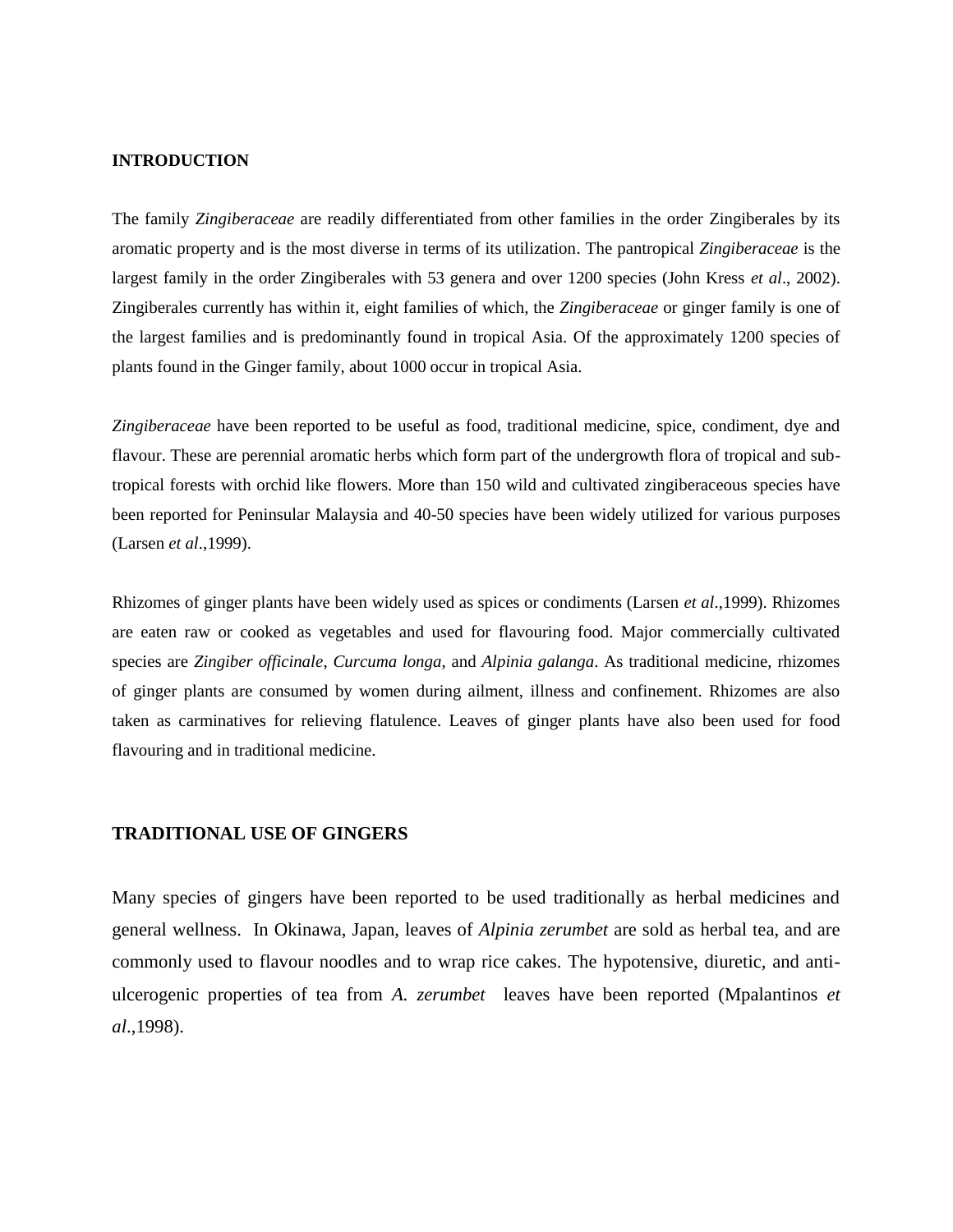#### **INTRODUCTION**

The family *Zingiberaceae* are readily differentiated from other families in the order Zingiberales by its aromatic property and is the most diverse in terms of its utilization. The pantropical *Zingiberaceae* is the largest family in the order Zingiberales with 53 genera and over 1200 species (John Kress *et al*., 2002). Zingiberales currently has within it, eight families of which, the *Zingiberaceae* or ginger family is one of the largest families and is predominantly found in tropical Asia. Of the approximately 1200 species of plants found in the Ginger family, about 1000 occur in tropical Asia.

*Zingiberaceae* have been reported to be useful as food, traditional medicine, spice, condiment, dye and flavour. These are perennial aromatic herbs which form part of the undergrowth flora of tropical and subtropical forests with orchid like flowers. More than 150 wild and cultivated zingiberaceous species have been reported for Peninsular Malaysia and 40-50 species have been widely utilized for various purposes (Larsen *et al*.,1999).

Rhizomes of ginger plants have been widely used as spices or condiments (Larsen *et al*.,1999). Rhizomes are eaten raw or cooked as vegetables and used for flavouring food. Major commercially cultivated species are *Zingiber officinale*, *Curcuma longa*, and *Alpinia galanga*. As traditional medicine, rhizomes of ginger plants are consumed by women during ailment, illness and confinement. Rhizomes are also taken as carminatives for relieving flatulence. Leaves of ginger plants have also been used for food flavouring and in traditional medicine.

# **TRADITIONAL USE OF GINGERS**

Many species of gingers have been reported to be used traditionally as herbal medicines and general wellness. In Okinawa, Japan, leaves of *Alpinia zerumbet* are sold as herbal tea, and are commonly used to flavour noodles and to wrap rice cakes. The hypotensive, diuretic, and antiulcerogenic properties of tea from *A. zerumbet* leaves have been reported (Mpalantinos *et al*.,1998).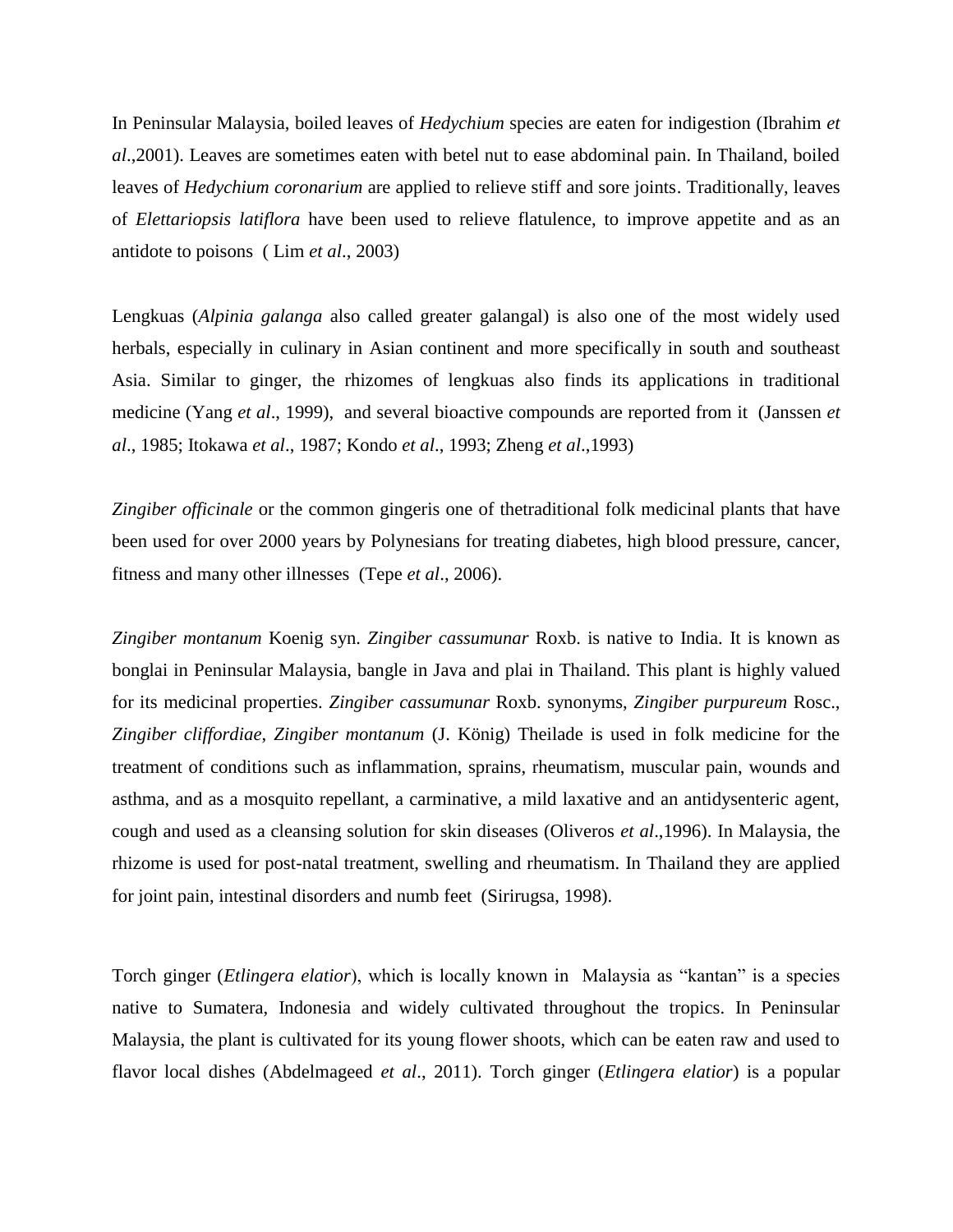In Peninsular Malaysia, boiled leaves of *Hedychium* species are eaten for indigestion (Ibrahim *et al*.,2001). Leaves are sometimes eaten with betel nut to ease abdominal pain. In Thailand, boiled leaves of *Hedychium coronarium* are applied to relieve stiff and sore joints. Traditionally, leaves of *Elettariopsis latiflora* have been used to relieve flatulence, to improve appetite and as an antidote to poisons ( Lim *et al*., 2003)

Lengkuas (*Alpinia galanga* also called greater galangal) is also one of the most widely used herbals, especially in culinary in Asian continent and more specifically in south and southeast Asia. Similar to ginger, the rhizomes of lengkuas also finds its applications in traditional medicine (Yang *et al*., 1999), and several bioactive compounds are reported from it (Janssen *et al*., 1985; Itokawa *et al*., 1987; Kondo *et al*., 1993; Zheng *et al*.,1993)

*Zingiber officinale* or the common gingeris one of thetraditional folk medicinal plants that have been used for over 2000 years by Polynesians for treating diabetes, high blood pressure, cancer, fitness and many other illnesses (Tepe *et al*., 2006).

*Zingiber montanum* Koenig syn. *Zingiber cassumunar* Roxb. is native to India. It is known as bonglai in Peninsular Malaysia, bangle in Java and plai in Thailand. This plant is highly valued for its medicinal properties. *Zingiber cassumunar* Roxb. synonyms, *Zingiber purpureum* Rosc., *Zingiber cliffordiae*, *Zingiber montanum* (J. König) Theilade is used in folk medicine for the treatment of conditions such as inflammation, sprains, rheumatism, muscular pain, wounds and asthma, and as a mosquito repellant, a carminative, a mild laxative and an antidysenteric agent, cough and used as a cleansing solution for skin diseases (Oliveros *et al*.,1996). In Malaysia, the rhizome is used for post-natal treatment, swelling and rheumatism. In Thailand they are applied for joint pain, intestinal disorders and numb feet (Sirirugsa, 1998).

Torch ginger (*Etlingera elatior*), which is locally known in Malaysia as "kantan" is a species native to Sumatera, Indonesia and widely cultivated throughout the tropics. In Peninsular Malaysia, the plant is cultivated for its young flower shoots, which can be eaten raw and used to flavor local dishes (Abdelmageed *et al*., 2011). Torch ginger (*Etlingera elatior*) is a popular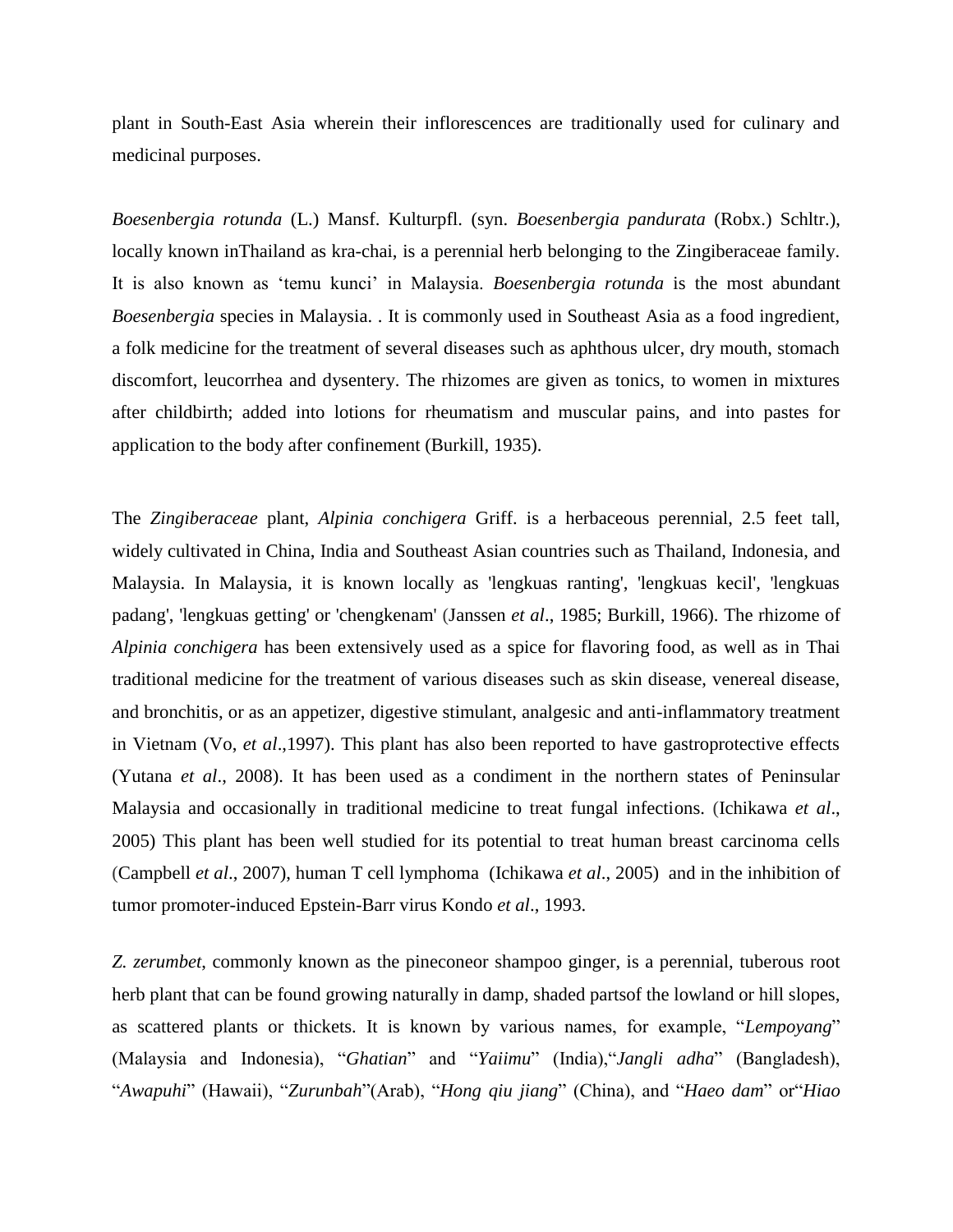plant in South-East Asia wherein their inflorescences are traditionally used for culinary and medicinal purposes.

*Boesenbergia rotunda* (L.) Mansf. Kulturpfl. (syn. *Boesenbergia pandurata* (Robx.) Schltr.), locally known inThailand as kra-chai, is a perennial herb belonging to the Zingiberaceae family. It is also known as 'temu kunci' in Malaysia. *Boesenbergia rotunda* is the most abundant *Boesenbergia* species in Malaysia. . It is commonly used in Southeast Asia as a food ingredient, a folk medicine for the treatment of several diseases such as aphthous ulcer, dry mouth, stomach discomfort, leucorrhea and dysentery. The rhizomes are given as tonics, to women in mixtures after childbirth; added into lotions for rheumatism and muscular pains, and into pastes for application to the body after confinement (Burkill, 1935).

The *Zingiberaceae* plant, *Alpinia conchigera* Griff. is a herbaceous perennial, 2.5 feet tall, widely cultivated in China, India and Southeast Asian countries such as Thailand, Indonesia, and Malaysia. In Malaysia, it is known locally as 'lengkuas ranting', 'lengkuas kecil', 'lengkuas padang', 'lengkuas getting' or 'chengkenam' (Janssen *et al*., 1985; Burkill, 1966). The rhizome of *Alpinia conchigera* has been extensively used as a spice for flavoring food, as well as in Thai traditional medicine for the treatment of various diseases such as skin disease, venereal disease, and bronchitis, or as an appetizer, digestive stimulant, analgesic and anti-inflammatory treatment in Vietnam (Vo, *et al*.,1997). This plant has also been reported to have gastroprotective effects (Yutana *et al*., 2008). It has been used as a condiment in the northern states of Peninsular Malaysia and occasionally in traditional medicine to treat fungal infections. (Ichikawa *et al*., 2005) This plant has been well studied for its potential to treat human breast carcinoma cells (Campbell *et al*., 2007), human T cell lymphoma (Ichikawa *et al*., 2005) and in the inhibition of tumor promoter-induced Epstein-Barr virus Kondo *et al*., 1993.

*Z. zerumbet*, commonly known as the pineconeor shampoo ginger, is a perennial, tuberous root herb plant that can be found growing naturally in damp, shaded partsof the lowland or hill slopes, as scattered plants or thickets. It is known by various names, for example, "*Lempoyang*" (Malaysia and Indonesia), "*Ghatian*" and "*Yaiimu*" (India),"*Jangli adha*" (Bangladesh), "*Awapuhi*" (Hawaii), "*Zurunbah*"(Arab), "*Hong qiu jiang*" (China), and "*Haeo dam*" or"*Hiao*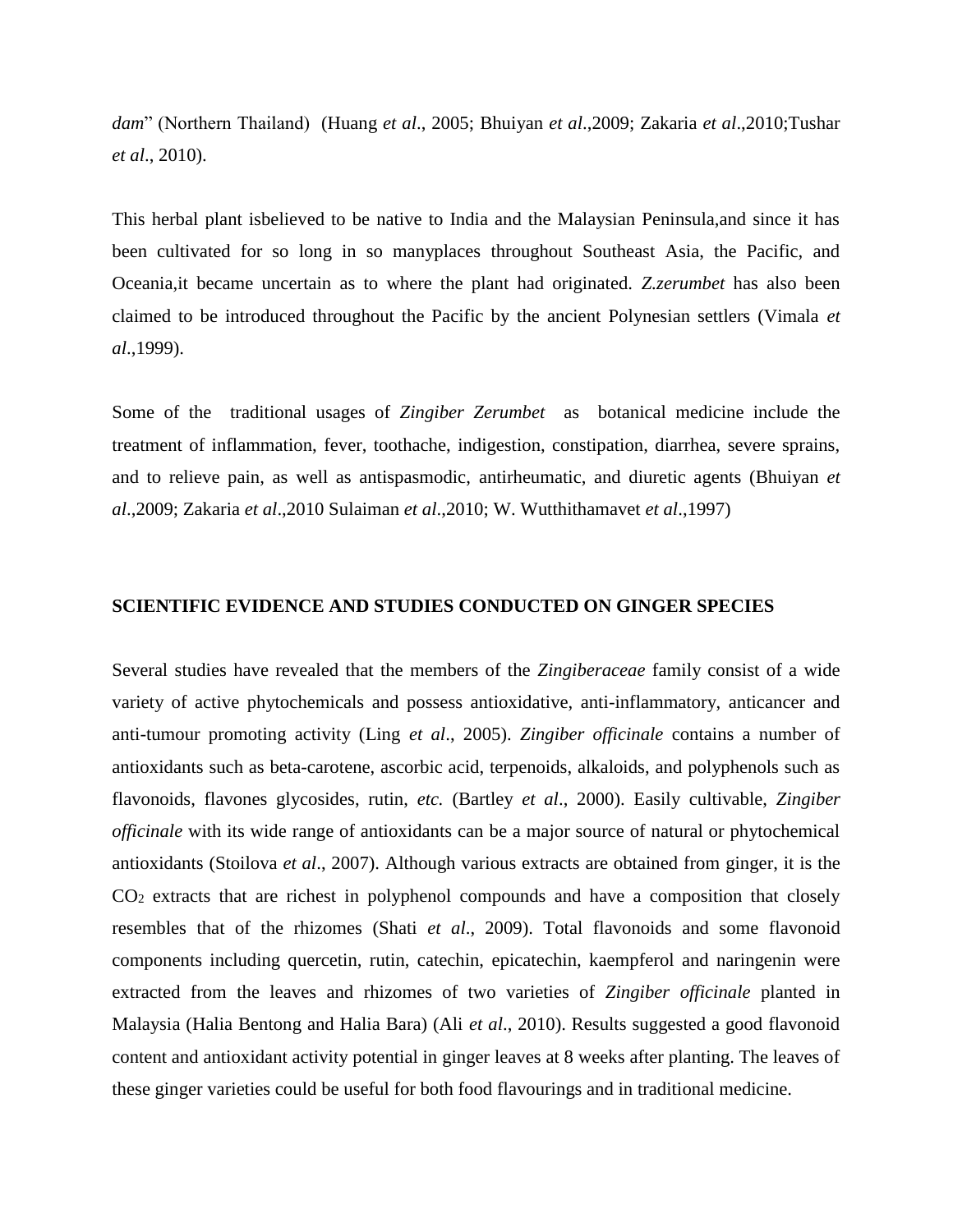*dam*" (Northern Thailand) (Huang *et al*., 2005; Bhuiyan *et al*.,2009; Zakaria *et al*.,2010;Tushar *et al*., 2010).

This herbal plant isbelieved to be native to India and the Malaysian Peninsula,and since it has been cultivated for so long in so manyplaces throughout Southeast Asia, the Pacific, and Oceania,it became uncertain as to where the plant had originated. *Z.zerumbet* has also been claimed to be introduced throughout the Pacific by the ancient Polynesian settlers (Vimala *et al*.,1999).

Some of the traditional usages of *Zingiber Zerumbet* as botanical medicine include the treatment of inflammation, fever, toothache, indigestion, constipation, diarrhea, severe sprains, and to relieve pain, as well as antispasmodic, antirheumatic, and diuretic agents (Bhuiyan *et al*.,2009; Zakaria *et al*.,2010 Sulaiman *et al*.,2010; W. Wutthithamavet *et al*.,1997)

### **SCIENTIFIC EVIDENCE AND STUDIES CONDUCTED ON GINGER SPECIES**

Several studies have revealed that the members of the *Zingiberaceae* family consist of a wide variety of active phytochemicals and possess antioxidative, anti-inflammatory, anticancer and anti-tumour promoting activity (Ling *et al*., 2005). *Zingiber officinale* contains a number of antioxidants such as beta-carotene, ascorbic acid, terpenoids, alkaloids, and polyphenols such as flavonoids, flavones glycosides, rutin, *etc.* (Bartley *et al*., 2000). Easily cultivable, *Zingiber officinale* with its wide range of antioxidants can be a major source of natural or phytochemical antioxidants (Stoilova *et al*., 2007). Although various extracts are obtained from ginger, it is the  $CO<sub>2</sub>$  extracts that are richest in polyphenol compounds and have a composition that closely resembles that of the rhizomes (Shati *et al*., 2009). Total flavonoids and some flavonoid components including quercetin, rutin, catechin, epicatechin, kaempferol and naringenin were extracted from the leaves and rhizomes of two varieties of *Zingiber officinale* planted in Malaysia (Halia Bentong and Halia Bara) (Ali *et al*., 2010). Results suggested a good flavonoid content and antioxidant activity potential in ginger leaves at 8 weeks after planting. The leaves of these ginger varieties could be useful for both food flavourings and in traditional medicine.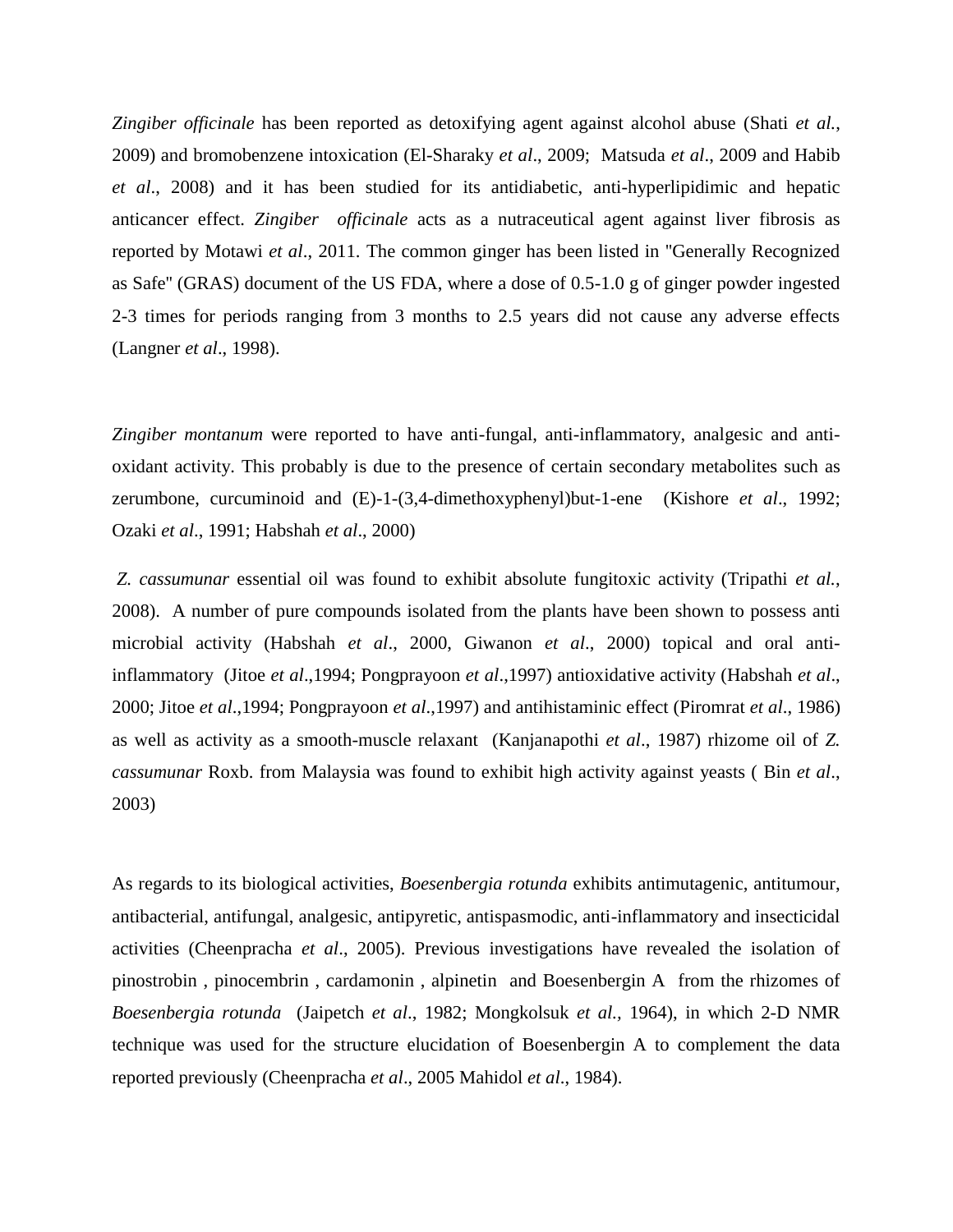*Zingiber officinale* has been reported as detoxifying agent against alcohol abuse (Shati *et al.*, 2009) and bromobenzene intoxication (El-Sharaky *et al*., 2009; Matsuda *et al*., 2009 and Habib *et al*., 2008) and it has been studied for its antidiabetic, anti-hyperlipidimic and hepatic anticancer effect. *Zingiber officinale* acts as a nutraceutical agent against liver fibrosis as reported by Motawi *et al*., 2011. The common ginger has been listed in ''Generally Recognized as Safe'' (GRAS) document of the US FDA, where a dose of 0.5-1.0 g of ginger powder ingested 2-3 times for periods ranging from 3 months to 2.5 years did not cause any adverse effects (Langner *et al*., 1998).

*Zingiber montanum* were reported to have anti-fungal, anti-inflammatory, analgesic and antioxidant activity. This probably is due to the presence of certain secondary metabolites such as zerumbone, curcuminoid and (E)-1-(3,4-dimethoxyphenyl)but-1-ene (Kishore *et al*., 1992; Ozaki *et al*., 1991; Habshah *et al*., 2000)

*Z. cassumunar* essential oil was found to exhibit absolute fungitoxic activity (Tripathi *et al.*, 2008). A number of pure compounds isolated from the plants have been shown to possess anti microbial activity (Habshah *et al*., 2000, Giwanon *et al*., 2000) topical and oral antiinflammatory (Jitoe *et al*.,1994; Pongprayoon *et al*.,1997) antioxidative activity (Habshah *et al*., 2000; Jitoe *et al*.,1994; Pongprayoon *et al*.,1997) and antihistaminic effect (Piromrat *et al*., 1986) as well as activity as a smooth-muscle relaxant (Kanjanapothi *et al*., 1987) rhizome oil of *Z. cassumunar* Roxb. from Malaysia was found to exhibit high activity against yeasts ( Bin *et al*., 2003)

As regards to its biological activities, *Boesenbergia rotunda* exhibits antimutagenic, antitumour, antibacterial, antifungal, analgesic, antipyretic, antispasmodic, anti-inflammatory and insecticidal activities (Cheenpracha *et al*., 2005). Previous investigations have revealed the isolation of pinostrobin , pinocembrin , cardamonin , alpinetin and Boesenbergin A from the rhizomes of *Boesenbergia rotunda* (Jaipetch *et al*., 1982; Mongkolsuk *et al.,* 1964), in which 2-D NMR technique was used for the structure elucidation of Boesenbergin A to complement the data reported previously (Cheenpracha *et al*., 2005 Mahidol *et al*., 1984).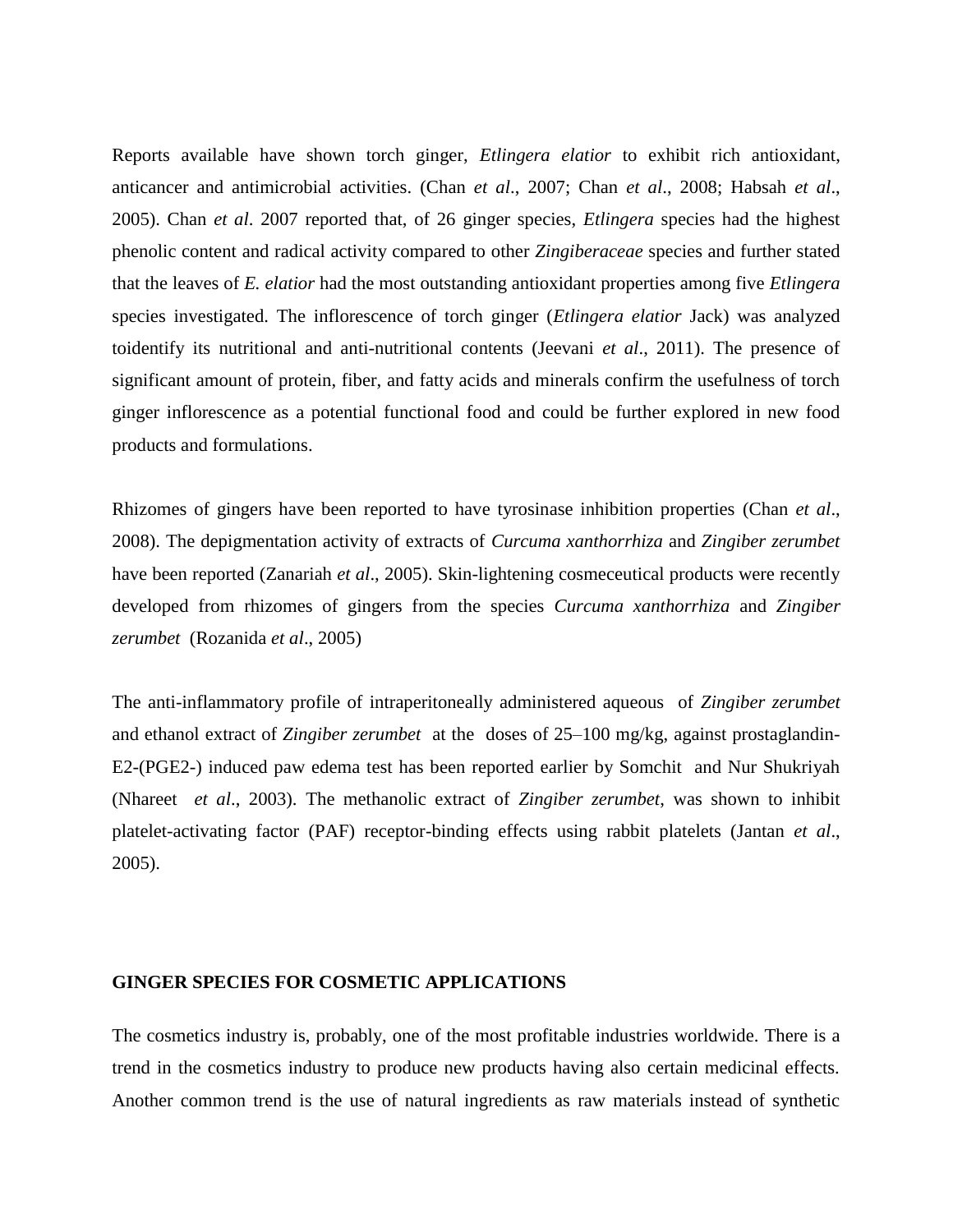Reports available have shown torch ginger, *Etlingera elatior* to exhibit rich antioxidant, anticancer and antimicrobial activities. (Chan *et al*., 2007; Chan *et al*., 2008; Habsah *et al*., 2005). Chan *et al*. 2007 reported that, of 26 ginger species, *Etlingera* species had the highest phenolic content and radical activity compared to other *Zingiberaceae* species and further stated that the leaves of *E. elatior* had the most outstanding antioxidant properties among five *Etlingera*  species investigated. The inflorescence of torch ginger (*Etlingera elatior* Jack) was analyzed toidentify its nutritional and anti-nutritional contents (Jeevani *et al*., 2011). The presence of significant amount of protein, fiber, and fatty acids and minerals confirm the usefulness of torch ginger inflorescence as a potential functional food and could be further explored in new food products and formulations.

Rhizomes of gingers have been reported to have tyrosinase inhibition properties (Chan *et al*., 2008). The depigmentation activity of extracts of *Curcuma xanthorrhiza* and *Zingiber zerumbet* have been reported (Zanariah *et al*., 2005). Skin-lightening cosmeceutical products were recently developed from rhizomes of gingers from the species *Curcuma xanthorrhiza* and *Zingiber zerumbet* (Rozanida *et al*., 2005)

The anti-inflammatory profile of intraperitoneally administered aqueous of *Zingiber zerumbet* and ethanol extract of *Zingiber zerumbet* at the doses of 25–100 mg/kg, against prostaglandin-E2-(PGE2-) induced paw edema test has been reported earlier by Somchit and Nur Shukriyah (Nhareet *et al*., 2003). The methanolic extract of *Zingiber zerumbet*, was shown to inhibit platelet-activating factor (PAF) receptor-binding effects using rabbit platelets (Jantan *et al*., 2005).

#### **GINGER SPECIES FOR COSMETIC APPLICATIONS**

The cosmetics industry is, probably, one of the most profitable industries worldwide. There is a trend in the cosmetics industry to produce new products having also certain medicinal effects. Another common trend is the use of natural ingredients as raw materials instead of synthetic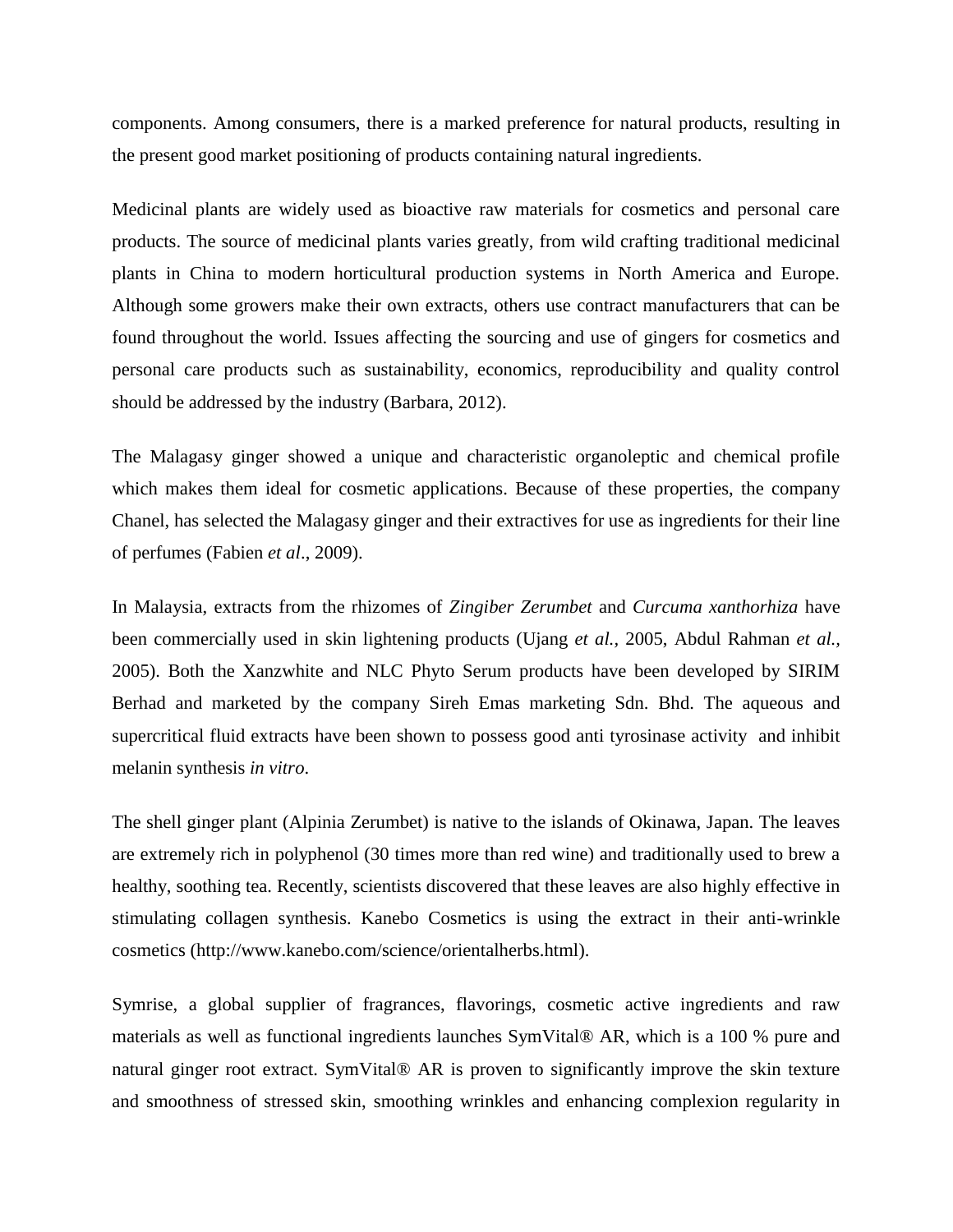components. Among consumers, there is a marked preference for natural products, resulting in the present good market positioning of products containing natural ingredients.

Medicinal plants are widely used as bioactive raw materials for cosmetics and personal care products. The source of medicinal plants varies greatly, from wild crafting traditional medicinal plants in China to modern horticultural production systems in North America and Europe. Although some growers make their own extracts, others use contract manufacturers that can be found throughout the world. Issues affecting the sourcing and use of gingers for cosmetics and personal care products such as sustainability, economics, reproducibility and quality control should be addressed by the industry (Barbara, 2012).

The Malagasy ginger showed a unique and characteristic organoleptic and chemical profile which makes them ideal for cosmetic applications. Because of these properties, the company Chanel, has selected the Malagasy ginger and their extractives for use as ingredients for their line of perfumes (Fabien *et al*., 2009).

In Malaysia, extracts from the rhizomes of *Zingiber Zerumbet* and *Curcuma xanthorhiza* have been commercially used in skin lightening products (Ujang *et al.,* 2005, Abdul Rahman *et al.,*  2005). Both the Xanzwhite and NLC Phyto Serum products have been developed by SIRIM Berhad and marketed by the company Sireh Emas marketing Sdn. Bhd. The aqueous and supercritical fluid extracts have been shown to possess good anti tyrosinase activity and inhibit melanin synthesis *in vitro*.

The shell ginger plant (Alpinia Zerumbet) is native to the islands of Okinawa, Japan. The leaves are extremely rich in polyphenol (30 times more than red wine) and traditionally used to brew a healthy, soothing tea. Recently, scientists discovered that these leaves are also highly effective in stimulating collagen synthesis. Kanebo Cosmetics is using the extract in their anti-wrinkle cosmetics (http://www.kanebo.com/science/orientalherbs.html).

Symrise, a global supplier of fragrances, flavorings, cosmetic active ingredients and raw materials as well as functional ingredients launches SymVital® AR, which is a 100 % pure and natural ginger root extract. SymVital® AR is proven to significantly improve the skin texture and smoothness of stressed skin, smoothing wrinkles and enhancing complexion regularity in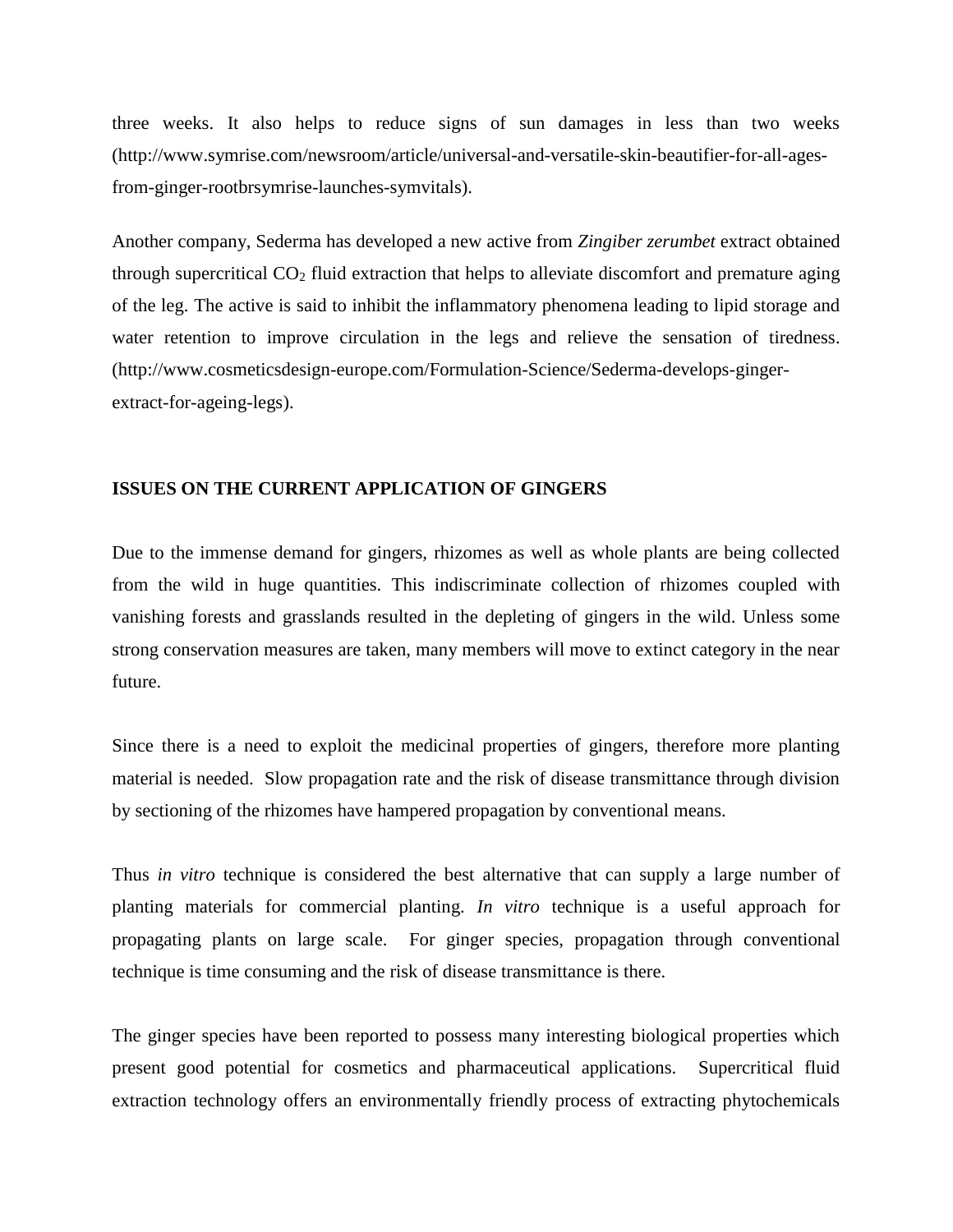three weeks. It also helps to reduce signs of sun damages in less than two weeks (http://www.symrise.com/newsroom/article/universal-and-versatile-skin-beautifier-for-all-agesfrom-ginger-rootbrsymrise-launches-symvitals).

Another company, Sederma has developed a new active from *Zingiber zerumbet* extract obtained through supercritical  $CO<sub>2</sub>$  fluid extraction that helps to alleviate discomfort and premature aging of the leg. The active is said to inhibit the inflammatory phenomena leading to lipid storage and water retention to improve circulation in the legs and relieve the sensation of tiredness. (http://www.cosmeticsdesign-europe.com/Formulation-Science/Sederma-develops-gingerextract-for-ageing-legs).

## **ISSUES ON THE CURRENT APPLICATION OF GINGERS**

Due to the immense demand for gingers, rhizomes as well as whole plants are being collected from the wild in huge quantities. This indiscriminate collection of rhizomes coupled with vanishing forests and grasslands resulted in the depleting of gingers in the wild. Unless some strong conservation measures are taken, many members will move to extinct category in the near future.

Since there is a need to exploit the medicinal properties of gingers, therefore more planting material is needed. Slow propagation rate and the risk of disease transmittance through division by sectioning of the rhizomes have hampered propagation by conventional means.

Thus *in vitro* technique is considered the best alternative that can supply a large number of planting materials for commercial planting. *In vitro* technique is a useful approach for propagating plants on large scale. For ginger species, propagation through conventional technique is time consuming and the risk of disease transmittance is there.

The ginger species have been reported to possess many interesting biological properties which present good potential for cosmetics and pharmaceutical applications. Supercritical fluid extraction technology offers an environmentally friendly process of extracting phytochemicals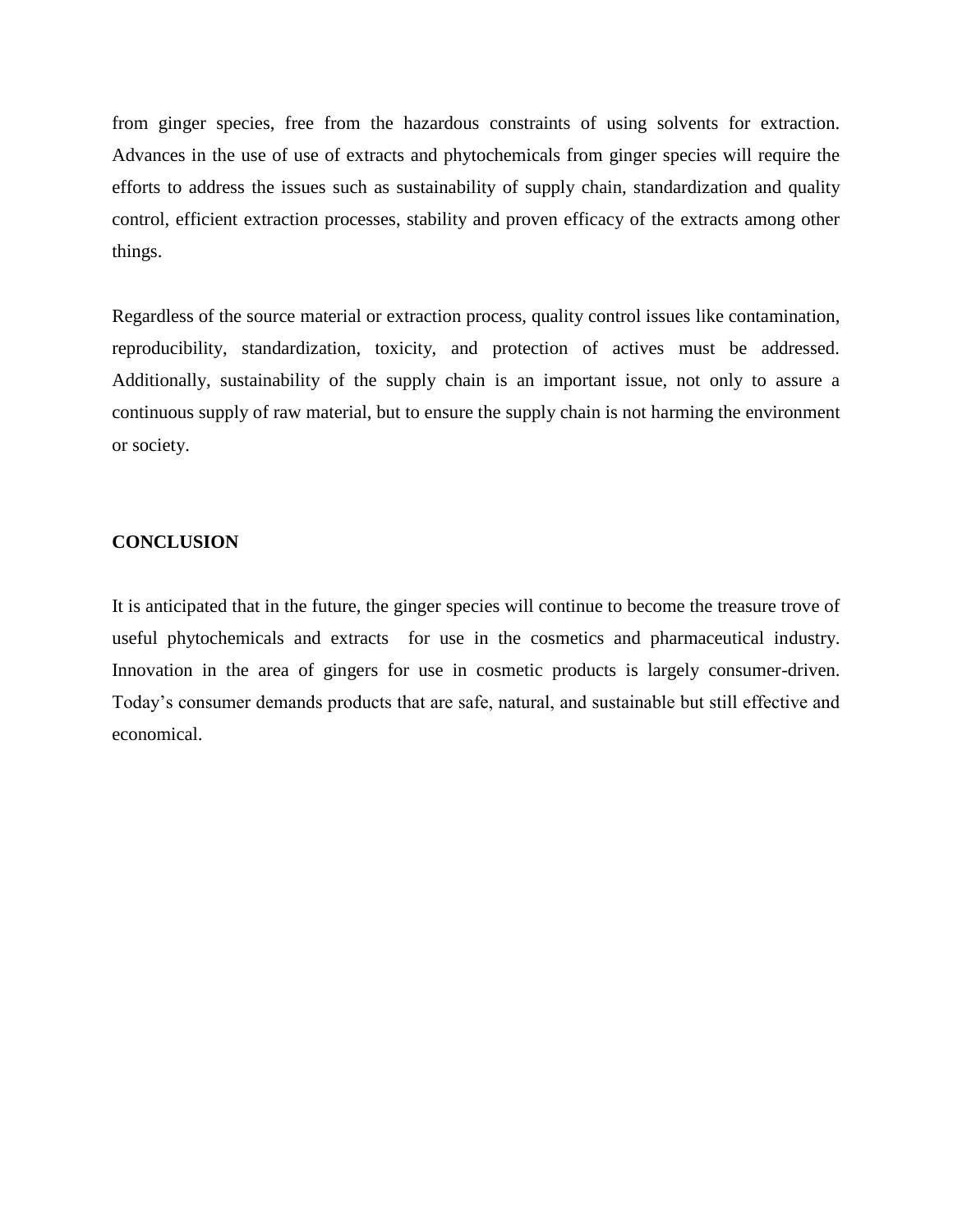from ginger species, free from the hazardous constraints of using solvents for extraction. Advances in the use of use of extracts and phytochemicals from ginger species will require the efforts to address the issues such as sustainability of supply chain, standardization and quality control, efficient extraction processes, stability and proven efficacy of the extracts among other things.

Regardless of the source material or extraction process, quality control issues like contamination, reproducibility, standardization, toxicity, and protection of actives must be addressed. Additionally, sustainability of the supply chain is an important issue, not only to assure a continuous supply of raw material, but to ensure the supply chain is not harming the environment or society.

## **CONCLUSION**

It is anticipated that in the future, the ginger species will continue to become the treasure trove of useful phytochemicals and extracts for use in the cosmetics and pharmaceutical industry. Innovation in the area of gingers for use in cosmetic products is largely consumer-driven. Today's consumer demands products that are safe, natural, and sustainable but still effective and economical.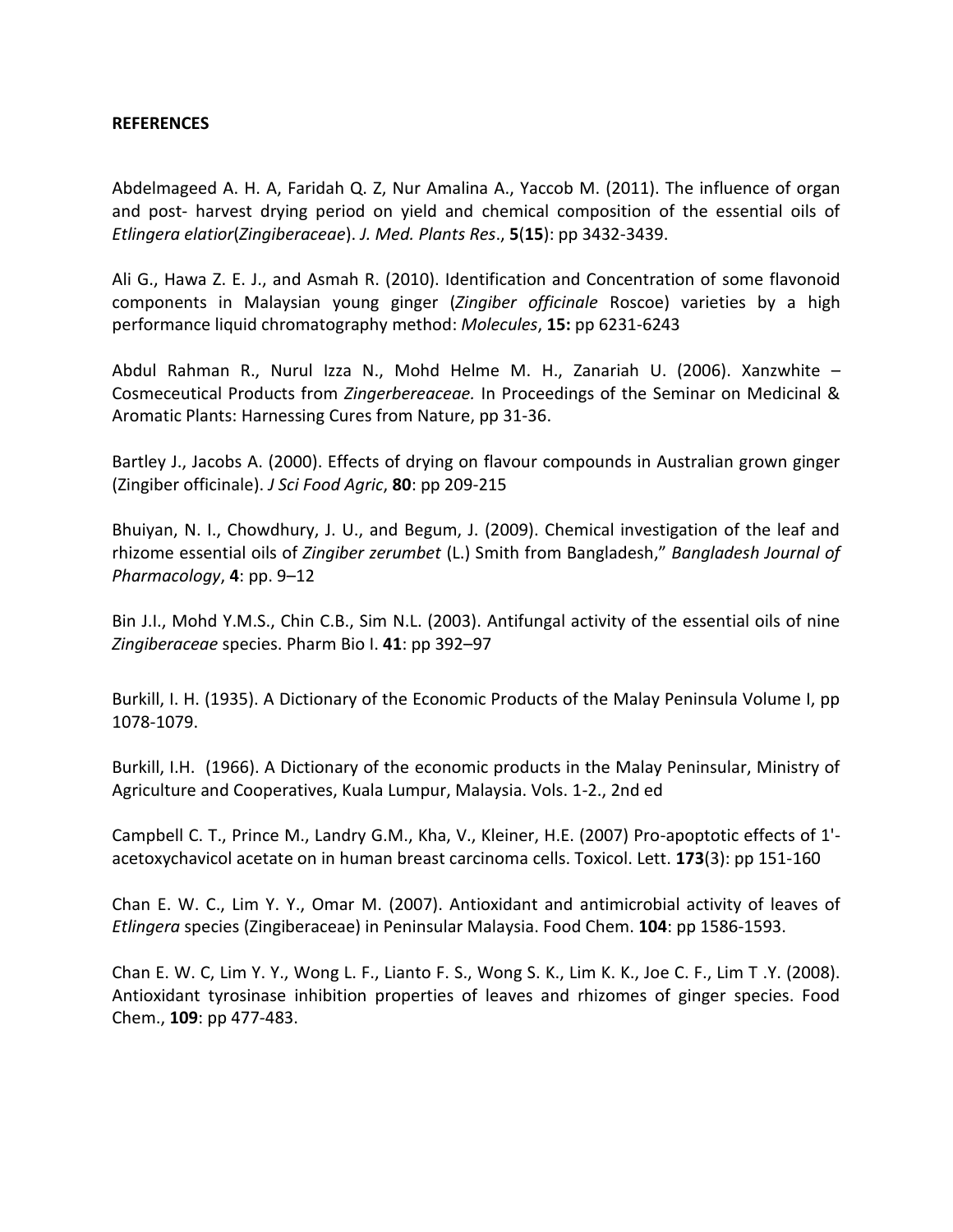# **REFERENCES**

Abdelmageed A. H. A, Faridah Q. Z, Nur Amalina A., Yaccob M. (2011). The influence of organ and post- harvest drying period on yield and chemical composition of the essential oils of *Etlingera elatior*(*Zingiberaceae*). *J. Med. Plants Res*., **5**(**15**): pp 3432-3439.

Ali G., Hawa Z. E. J., and Asmah R. (2010). Identification and Concentration of some flavonoid components in Malaysian young ginger (*Zingiber officinale* Roscoe) varieties by a high performance liquid chromatography method: *Molecules*, **15:** pp 6231-6243

Abdul Rahman R., Nurul Izza N., Mohd Helme M. H., Zanariah U. (2006). Xanzwhite – Cosmeceutical Products from *Zingerbereaceae.* In Proceedings of the Seminar on Medicinal & Aromatic Plants: Harnessing Cures from Nature, pp 31-36.

Bartley J., Jacobs A. (2000). Effects of drying on flavour compounds in Australian grown ginger (Zingiber officinale). *J Sci Food Agric*, **80**: pp 209-215

Bhuiyan, N. I., Chowdhury, J. U., and Begum, J. (2009). Chemical investigation of the leaf and rhizome essential oils of *Zingiber zerumbet* (L.) Smith from Bangladesh," *Bangladesh Journal of Pharmacology*, **4**: pp. 9–12

Bin J.I., Mohd Y.M.S., Chin C.B., Sim N.L. (2003). Antifungal activity of the essential oils of nine *Zingiberaceae* species. Pharm Bio I. **41**: pp 392–97

Burkill, I. H. (1935). A Dictionary of the Economic Products of the Malay Peninsula Volume I, pp 1078-1079.

Burkill, I.H. (1966). A Dictionary of the economic products in the Malay Peninsular, Ministry of Agriculture and Cooperatives, Kuala Lumpur, Malaysia. Vols. 1-2., 2nd ed

Campbell C. T., Prince M., Landry G.M., Kha, V., Kleiner, H.E. (2007) Pro-apoptotic effects of 1' acetoxychavicol acetate on in human breast carcinoma cells. Toxicol. Lett. **173**(3): pp 151-160

Chan E. W. C., Lim Y. Y., Omar M. (2007). Antioxidant and antimicrobial activity of leaves of *Etlingera* species (Zingiberaceae) in Peninsular Malaysia. Food Chem. **104**: pp 1586-1593.

Chan E. W. C, Lim Y. Y., Wong L. F., Lianto F. S., Wong S. K., Lim K. K., Joe C. F., Lim T .Y. (2008). Antioxidant tyrosinase inhibition properties of leaves and rhizomes of ginger species. Food Chem., **109**: pp 477-483.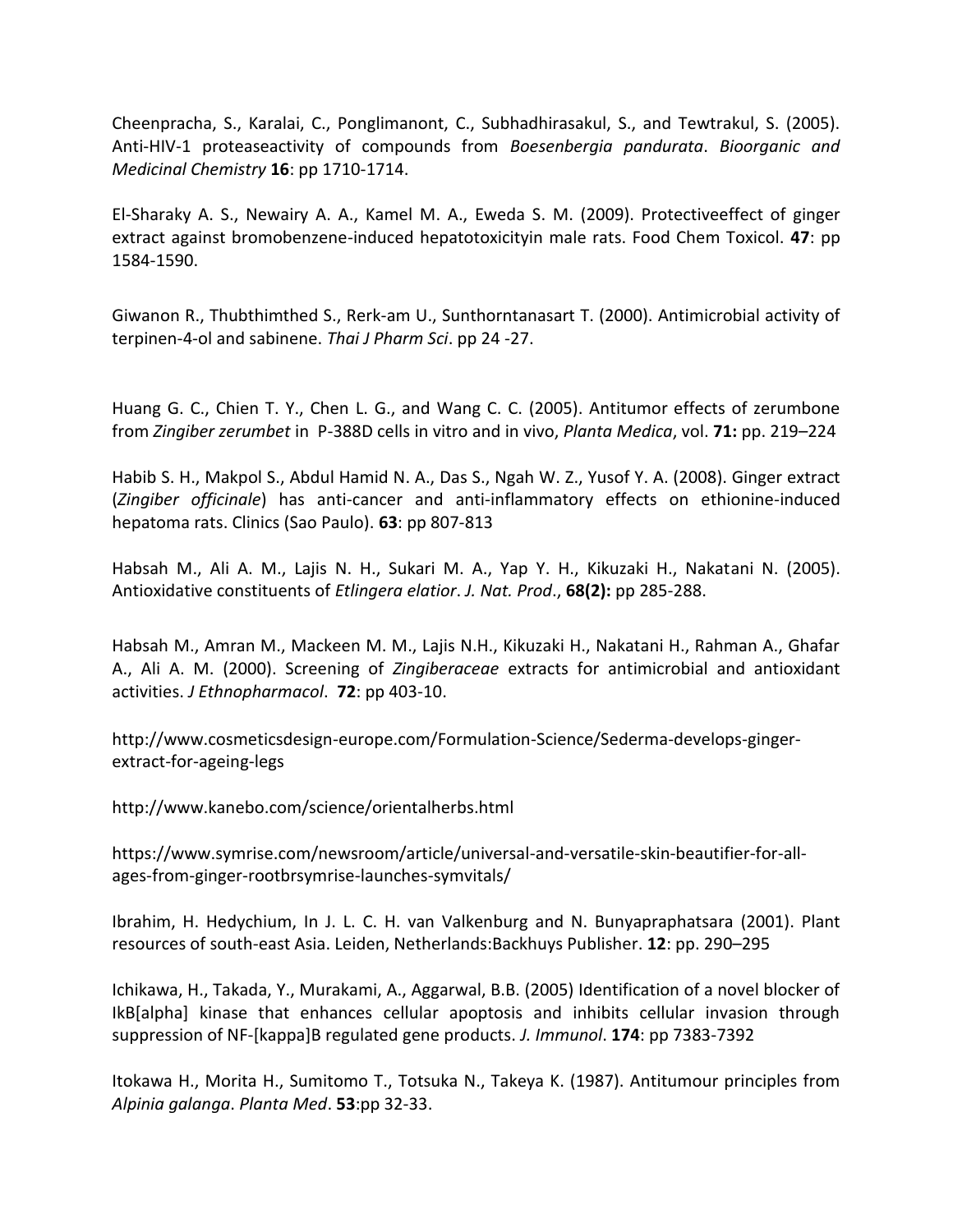Cheenpracha, S., Karalai, C., Ponglimanont, C., Subhadhirasakul, S., and Tewtrakul, S. (2005). Anti-HIV-1 proteaseactivity of compounds from *Boesenbergia pandurata*. *Bioorganic and Medicinal Chemistry* **16**: pp 1710-1714.

El-Sharaky A. S., Newairy A. A., Kamel M. A., Eweda S. M. (2009). Protectiveeffect of ginger extract against bromobenzene-induced hepatotoxicityin male rats. Food Chem Toxicol. **47**: pp 1584-1590.

Giwanon R., Thubthimthed S., Rerk-am U., Sunthorntanasart T. (2000). Antimicrobial activity of terpinen-4-ol and sabinene. *Thai J Pharm Sci*. pp 24 -27.

Huang G. C., Chien T. Y., Chen L. G., and Wang C. C. (2005). Antitumor effects of zerumbone from *Zingiber zerumbet* in P-388D cells in vitro and in vivo, *Planta Medica*, vol. **71:** pp. 219–224

Habib S. H., Makpol S., Abdul Hamid N. A., Das S., Ngah W. Z., Yusof Y. A. (2008). Ginger extract (*Zingiber officinale*) has anti-cancer and anti-inflammatory effects on ethionine-induced hepatoma rats. Clinics (Sao Paulo). **63**: pp 807-813

Habsah M., Ali A. M., Lajis N. H., Sukari M. A., Yap Y. H., Kikuzaki H., Nakatani N. (2005). Antioxidative constituents of *Etlingera elatior*. *J. Nat. Prod*., **68(2):** pp 285-288.

Habsah M., Amran M., Mackeen M. M., Lajis N.H., Kikuzaki H., Nakatani H., Rahman A., Ghafar A., Ali A. M. (2000). Screening of *Zingiberaceae* extracts for antimicrobial and antioxidant activities. *J Ethnopharmacol*. **72**: pp 403-10.

http://www.cosmeticsdesign-europe.com/Formulation-Science/Sederma-develops-gingerextract-for-ageing-legs

http://www.kanebo.com/science/orientalherbs.html

[https://www.symrise.com/newsroom/article/universal-and-versatile-skin-beautifier-for-all](https://www.symrise.com/newsroom/article/universal-and-versatile-skin-beautifier-for-all-ages-from-ginger-rootbrsymrise-launches-symvitals/)[ages-from-ginger-rootbrsymrise-launches-symvitals/](https://www.symrise.com/newsroom/article/universal-and-versatile-skin-beautifier-for-all-ages-from-ginger-rootbrsymrise-launches-symvitals/)

Ibrahim, H. Hedychium, In J. L. C. H. van Valkenburg and N. Bunyapraphatsara (2001). Plant resources of south-east Asia. Leiden, Netherlands:Backhuys Publisher. **12**: pp. 290–295

Ichikawa, H., Takada, Y., Murakami, A., Aggarwal, B.B. (2005) Identification of a novel blocker of IkB[alpha] kinase that enhances cellular apoptosis and inhibits cellular invasion through suppression of NF-[kappa]B regulated gene products. *J. Immunol*. **174**: pp 7383-7392

Itokawa H., Morita H., Sumitomo T., Totsuka N., Takeya K. (1987). Antitumour principles from *Alpinia galanga*. *Planta Med*. **53**:pp 32-33.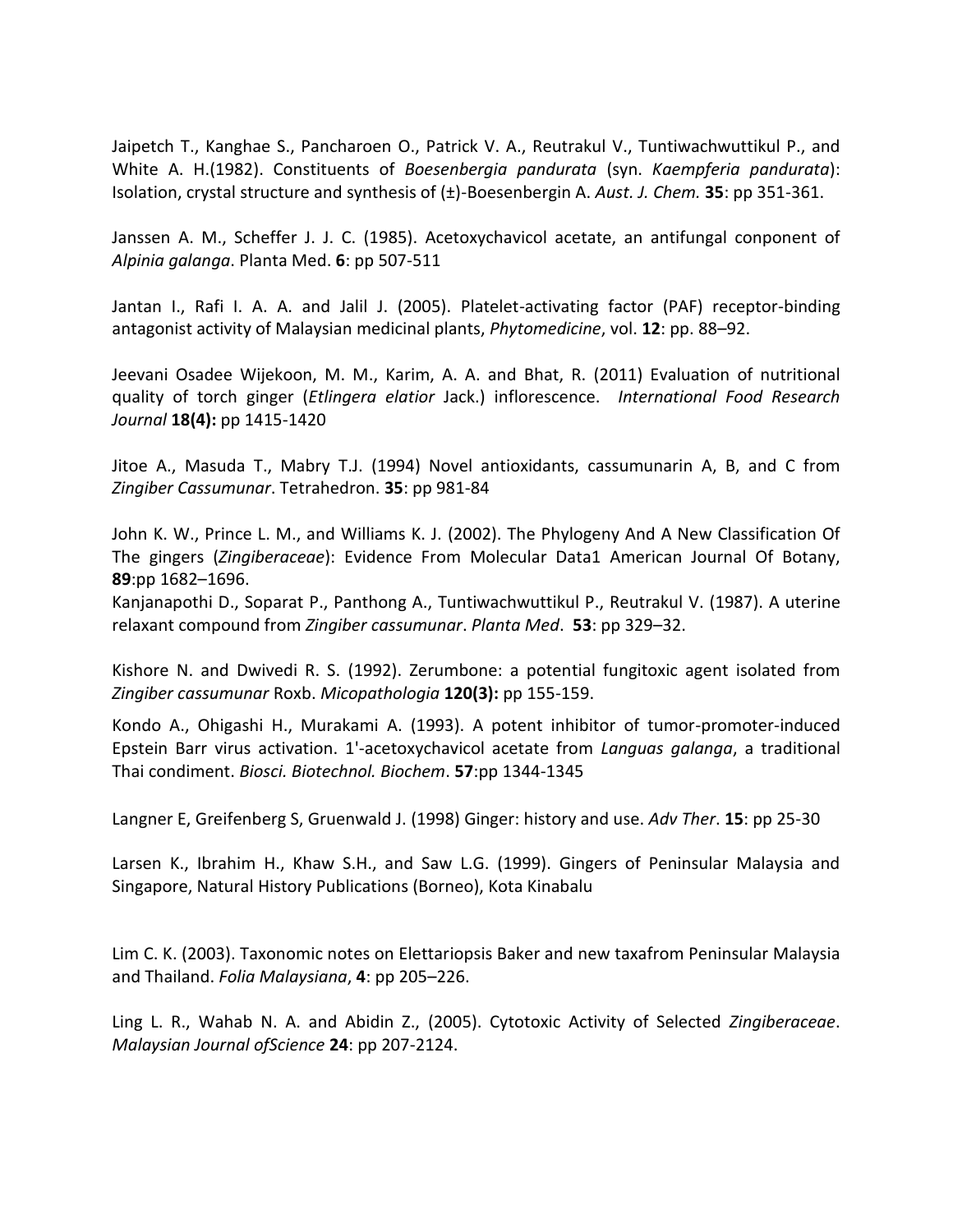Jaipetch T., Kanghae S., Pancharoen O., Patrick V. A., Reutrakul V., Tuntiwachwuttikul P., and White A. H.(1982). Constituents of *Boesenbergia pandurata* (syn. *Kaempferia pandurata*): Isolation, crystal structure and synthesis of (±)-Boesenbergin A. *Aust. J. Chem.* **35**: pp 351-361.

Janssen A. M., Scheffer J. J. C. (1985). Acetoxychavicol acetate, an antifungal conponent of *Alpinia galanga*. Planta Med. **6**: pp 507-511

Jantan I., Rafi I. A. A. and Jalil J. (2005). Platelet-activating factor (PAF) receptor-binding antagonist activity of Malaysian medicinal plants, *Phytomedicine*, vol. **12**: pp. 88–92.

Jeevani Osadee Wijekoon, M. M., Karim, A. A. and Bhat, R. (2011) Evaluation of nutritional quality of torch ginger (*Etlingera elatior* Jack.) inflorescence. *International Food Research Journal* **18(4):** pp 1415-1420

Jitoe A., Masuda T., Mabry T.J. (1994) Novel antioxidants, cassumunarin A, B, and C from *Zingiber Cassumunar*. Tetrahedron. **35**: pp 981-84

John K. W., Prince L. M., and Williams K. J. (2002). The Phylogeny And A New Classification Of The gingers (*Zingiberaceae*): Evidence From Molecular Data1 American Journal Of Botany, **89**:pp 1682–1696.

Kanjanapothi D., Soparat P., Panthong A., Tuntiwachwuttikul P., Reutrakul V. (1987). A uterine relaxant compound from *Zingiber cassumunar*. *Planta Med*. **53**: pp 329–32.

Kishore N. and Dwivedi R. S. (1992). Zerumbone: a potential fungitoxic agent isolated from *Zingiber cassumunar* Roxb. *Micopathologia* **120(3):** pp 155-159.

Kondo A., Ohigashi H., Murakami A. (1993). A potent inhibitor of tumor-promoter-induced Epstein Barr virus activation. 1'-acetoxychavicol acetate from *Languas galanga*, a traditional Thai condiment. *Biosci. Biotechnol. Biochem*. **57**:pp 1344-1345

Langner E, Greifenberg S, Gruenwald J. (1998) Ginger: history and use. *Adv Ther*. **15**: pp 25-30

Larsen K., Ibrahim H., Khaw S.H., and Saw L.G. (1999). Gingers of Peninsular Malaysia and Singapore, Natural History Publications (Borneo), Kota Kinabalu

Lim C. K. (2003). Taxonomic notes on Elettariopsis Baker and new taxafrom Peninsular Malaysia and Thailand. *Folia Malaysiana*, **4**: pp 205–226.

Ling L. R., Wahab N. A. and Abidin Z., (2005). Cytotoxic Activity of Selected *Zingiberaceae*. *Malaysian Journal ofScience* **24**: pp 207-2124.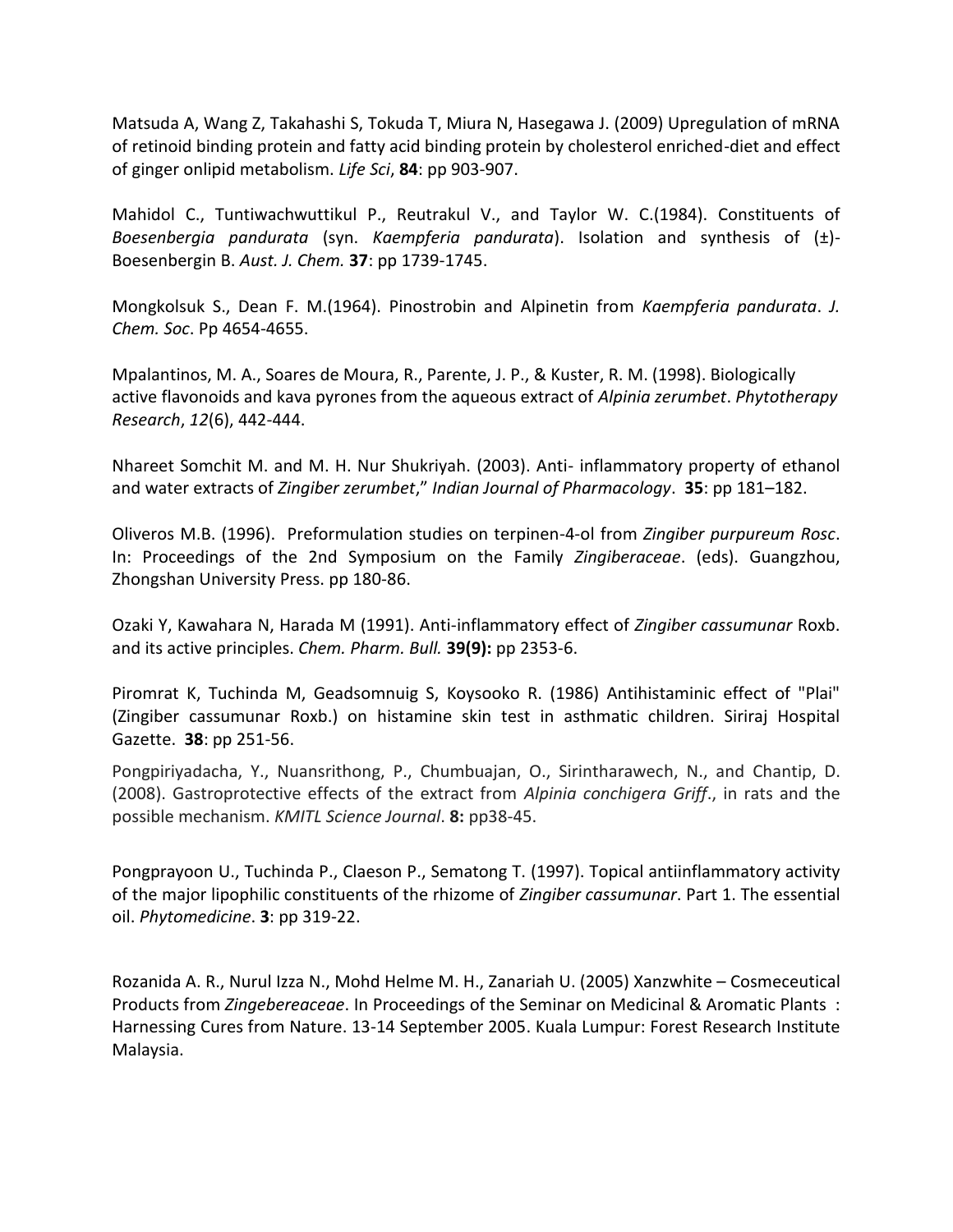Matsuda A, Wang Z, Takahashi S, Tokuda T, Miura N, Hasegawa J. (2009) Upregulation of mRNA of retinoid binding protein and fatty acid binding protein by cholesterol enriched-diet and effect of ginger onlipid metabolism. *Life Sci*, **84**: pp 903-907.

Mahidol C., Tuntiwachwuttikul P., Reutrakul V., and Taylor W. C.(1984). Constituents of *Boesenbergia pandurata* (syn. *Kaempferia pandurata*). Isolation and synthesis of (±)- Boesenbergin B. *Aust. J. Chem.* **37**: pp 1739-1745.

Mongkolsuk S., Dean F. M.(1964). Pinostrobin and Alpinetin from *Kaempferia pandurata*. *J. Chem. Soc*. Pp 4654-4655.

Mpalantinos, M. A., Soares de Moura, R., Parente, J. P., & Kuster, R. M. (1998). Biologically active flavonoids and kava pyrones from the aqueous extract of *Alpinia zerumbet*. *Phytotherapy Research*, *12*(6), 442-444.

Nhareet Somchit M. and M. H. Nur Shukriyah. (2003). Anti- inflammatory property of ethanol and water extracts of *Zingiber zerumbet*," *Indian Journal of Pharmacology*. **35**: pp 181–182.

Oliveros M.B. (1996). Preformulation studies on terpinen-4-ol from *Zingiber purpureum Rosc*. In: Proceedings of the 2nd Symposium on the Family *Zingiberaceae*. (eds). Guangzhou, Zhongshan University Press. pp 180-86.

Ozaki Y, Kawahara N, Harada M (1991). Anti-inflammatory effect of *Zingiber cassumunar* Roxb. and its active principles. *Chem. Pharm. Bull.* **39(9):** pp 2353-6.

Piromrat K, Tuchinda M, Geadsomnuig S, Koysooko R. (1986) Antihistaminic effect of "Plai" (Zingiber cassumunar Roxb.) on histamine skin test in asthmatic children. Siriraj Hospital Gazette. **38**: pp 251-56.

Pongpiriyadacha, Y., Nuansrithong, P., Chumbuajan, O., Sirintharawech, N., and Chantip, D. (2008). Gastroprotective effects of the extract from *Alpinia conchigera Griff*., in rats and the possible mechanism. *KMITL Science Journal*. **8:** pp38-45.

Pongprayoon U., Tuchinda P., Claeson P., Sematong T. (1997). Topical antiinflammatory activity of the major lipophilic constituents of the rhizome of *Zingiber cassumunar*. Part 1. The essential oil. *Phytomedicine*. **3**: pp 319-22.

Rozanida A. R., Nurul Izza N., Mohd Helme M. H., Zanariah U. (2005) Xanzwhite – Cosmeceutical Products from *Zingebereaceae*. In Proceedings of the Seminar on Medicinal & Aromatic Plants : Harnessing Cures from Nature. 13-14 September 2005. Kuala Lumpur: Forest Research Institute Malaysia.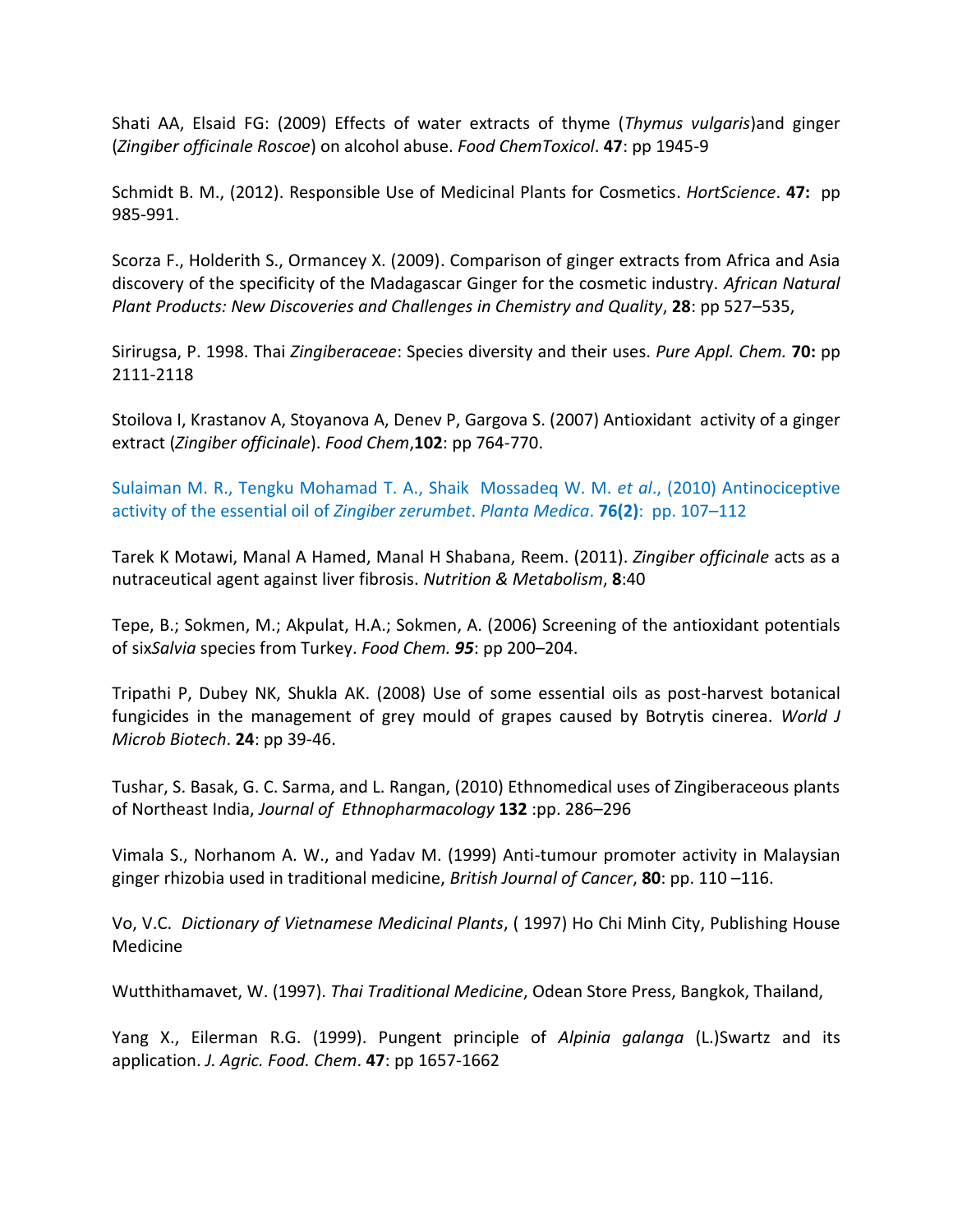Shati AA, Elsaid FG: (2009) Effects of water extracts of thyme (*Thymus vulgaris*)and ginger (*Zingiber officinale Roscoe*) on alcohol abuse. *Food ChemToxicol*. **47**: pp 1945-9

Schmidt B. M., (2012). Responsible Use of Medicinal Plants for Cosmetics. *HortScience*. **47:** pp 985-991.

Scorza F., Holderith S., Ormancey X. (2009). Comparison of ginger extracts from Africa and Asia discovery of the specificity of the Madagascar Ginger for the cosmetic industry. *[African Natural](http://pubs.acs.org/isbn/9780841269873)  [Plant Products: New Discoveries and Challenges in Chemistry and Quality](http://pubs.acs.org/isbn/9780841269873)*, **28**: pp 527–535,

Sirirugsa, P. 1998. Thai *Zingiberaceae*: Species diversity and their uses. *Pure Appl. Chem.* **70:** pp 2111-2118

Stoilova I, Krastanov A, Stoyanova A, Denev P, Gargova S. (2007) Antioxidant activity of a ginger extract (*Zingiber officinale*). *Food Chem*,**102**: pp 764-770.

Sulaiman M. R., Tengku Mohamad T. A., Shaik Mossadeq W. M. *et al*., (2010) Antinociceptive activity of the essential oil of *Zingiber zerumbet*. *Planta Medica*. **76(2)**: pp. 107–112

Tarek K Motawi, Manal A Hamed, Manal H Shabana, Reem. (2011). *Zingiber officinale* acts as a nutraceutical agent against liver fibrosis. *Nutrition & Metabolism*, **8**:40

Tepe, B.; Sokmen, M.; Akpulat, H.A.; Sokmen, A. (2006) Screening of the antioxidant potentials of six*Salvia* species from Turkey. *Food Chem. 95*: pp 200–204.

Tripathi P, Dubey NK, Shukla AK. (2008) Use of some essential oils as post-harvest botanical fungicides in the management of grey mould of grapes caused by Botrytis cinerea. *World J Microb Biotech*. **24**: pp 39-46.

Tushar, S. Basak, G. C. Sarma, and L. Rangan, (2010) Ethnomedical uses of Zingiberaceous plants of Northeast India, *Journal of Ethnopharmacology* **132** :pp. 286–296

Vimala S., Norhanom A. W., and Yadav M. (1999) Anti-tumour promoter activity in Malaysian ginger rhizobia used in traditional medicine, *British Journal of Cancer*, **80**: pp. 110 –116.

Vo, V.C. *Dictionary of Vietnamese Medicinal Plants*, ( 1997) Ho Chi Minh City, Publishing House Medicine

Wutthithamavet, W. (1997). *Thai Traditional Medicine*, Odean Store Press, Bangkok, Thailand,

Yang X., Eilerman R.G. (1999). Pungent principle of *Alpinia galanga* (L.)Swartz and its application. *J. Agric. Food. Chem*. **47**: pp 1657-1662